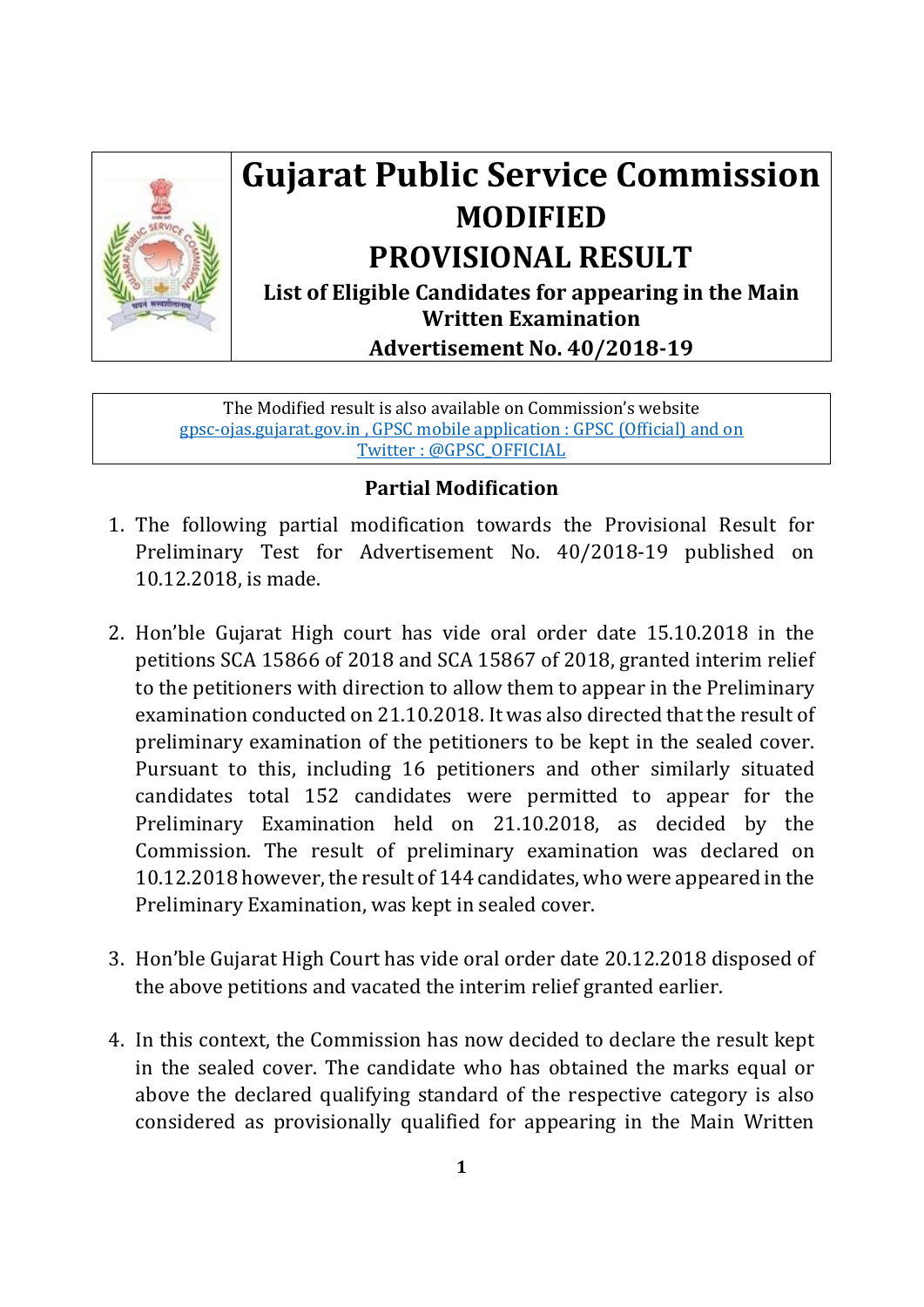

## **Gujarat Public Service Commission MODIFIED PROVISIONAL RESULT**

**List of Eligible Candidates for appearing in the Main Written Examination**

**Advertisement No. 40/2018‐19**

The Modified result is also available on Commission's website gpsc-ojas.gujarat.gov.in , GPSC mobile application : GPSC (Official) and on Twitter : @GPSC\_OFFICIAL

## **Partial Modification**

- 1. The following partial modification towards the Provisional Result for Preliminary Test for Advertisement No. 40/2018-19 published on 10.12.2018, is made.
- 2. Hon'ble Gujarat High court has vide oral order date 15.10.2018 in the petitions SCA 15866 of 2018 and SCA 15867 of 2018, granted interim relief to the petitioners with direction to allow them to appear in the Preliminary examination conducted on 21.10.2018. It was also directed that the result of preliminary examination of the petitioners to be kept in the sealed cover. Pursuant to this, including 16 petitioners and other similarly situated candidates total 152 candidates were permitted to appear for the Preliminary Examination held on 21.10.2018, as decided by the Commission. The result of preliminary examination was declared on 10.12.2018 however, the result of 144 candidates, who were appeared in the Preliminary Examination, was kept in sealed cover.
- 3. Hon'ble Gujarat High Court has vide oral order date 20.12.2018 disposed of the above petitions and vacated the interim relief granted earlier.
- 4. In this context, the Commission has now decided to declare the result kept in the sealed cover. The candidate who has obtained the marks equal or above the declared qualifying standard of the respective category is also considered as provisionally qualified for appearing in the Main Written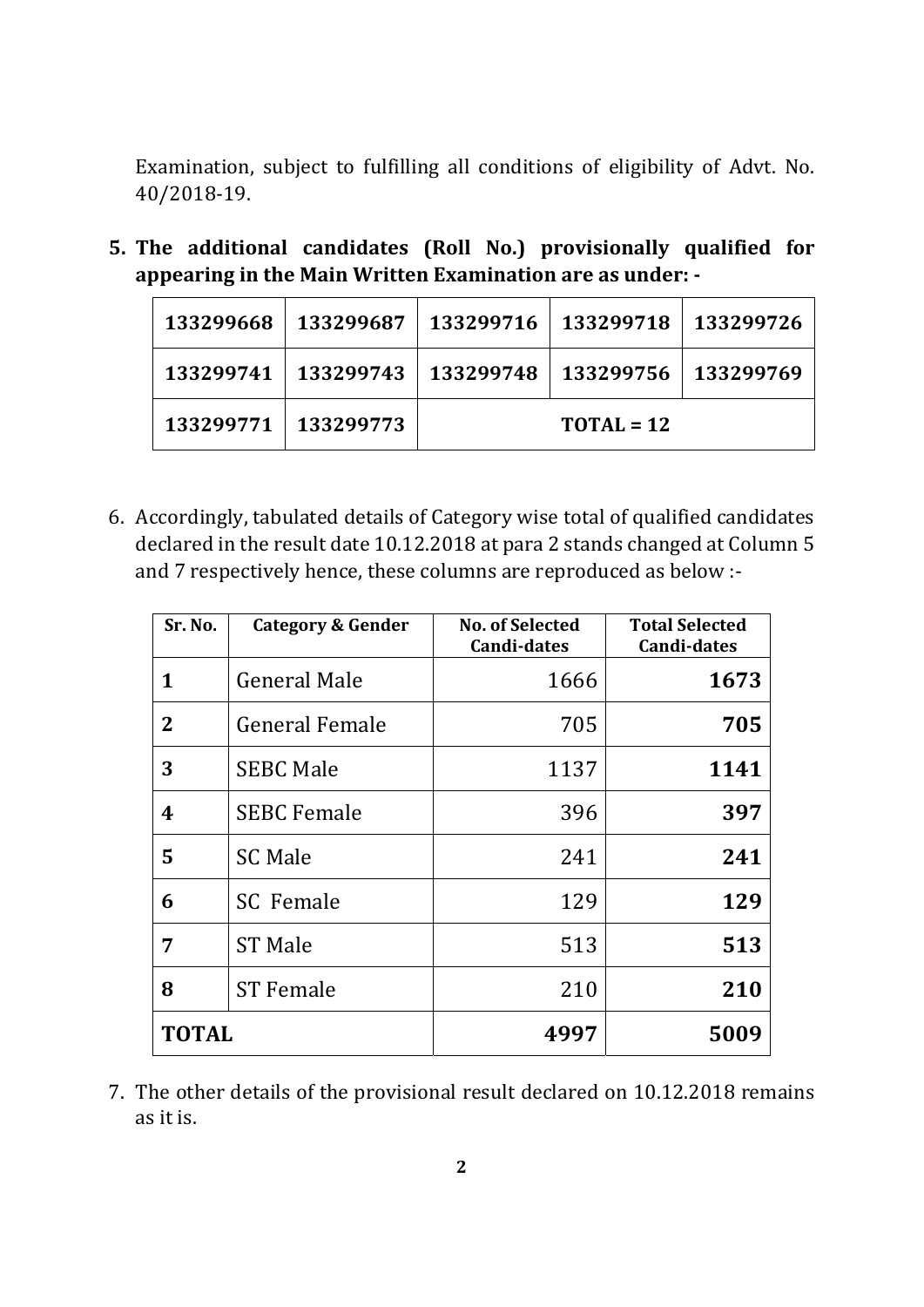Examination, subject to fulfilling all conditions of eligibility of Advt. No. 40/2018-19.

**5. The additional candidates (Roll No.) provisionally qualified for appearing in the Main Written Examination are as under: ‐** 

| 133299668 | 133299687             | 133299716   133299718 |                                   | 133299726 |
|-----------|-----------------------|-----------------------|-----------------------------------|-----------|
|           | 133299741   133299743 |                       | 133299748   133299756   133299769 |           |
|           | 133299771   133299773 | $TOTAL = 12$          |                                   |           |

6. Accordingly, tabulated details of Category wise total of qualified candidates declared in the result date 10.12.2018 at para 2 stands changed at Column 5 and 7 respectively hence, these columns are reproduced as below :-

| Sr. No.        | Category & Gender     | <b>No. of Selected</b><br><b>Candi-dates</b> | <b>Total Selected</b><br><b>Candi-dates</b> |
|----------------|-----------------------|----------------------------------------------|---------------------------------------------|
| 1              | <b>General Male</b>   | 1666                                         | 1673                                        |
| $\overline{2}$ | <b>General Female</b> | 705                                          | 705                                         |
| 3              | <b>SEBC Male</b>      | 1137                                         | 1141                                        |
| 4              | <b>SEBC Female</b>    | 396                                          | 397                                         |
| 5              | <b>SC Male</b>        | 241                                          | 241                                         |
| 6              | <b>SC</b> Female      | 129                                          | 129                                         |
| 7              | <b>ST Male</b>        | 513                                          | 513                                         |
| 8              | <b>ST Female</b>      | 210                                          | 210                                         |
| <b>TOTAL</b>   |                       | 4997                                         | 5009                                        |

7. The other details of the provisional result declared on 10.12.2018 remains as it is.